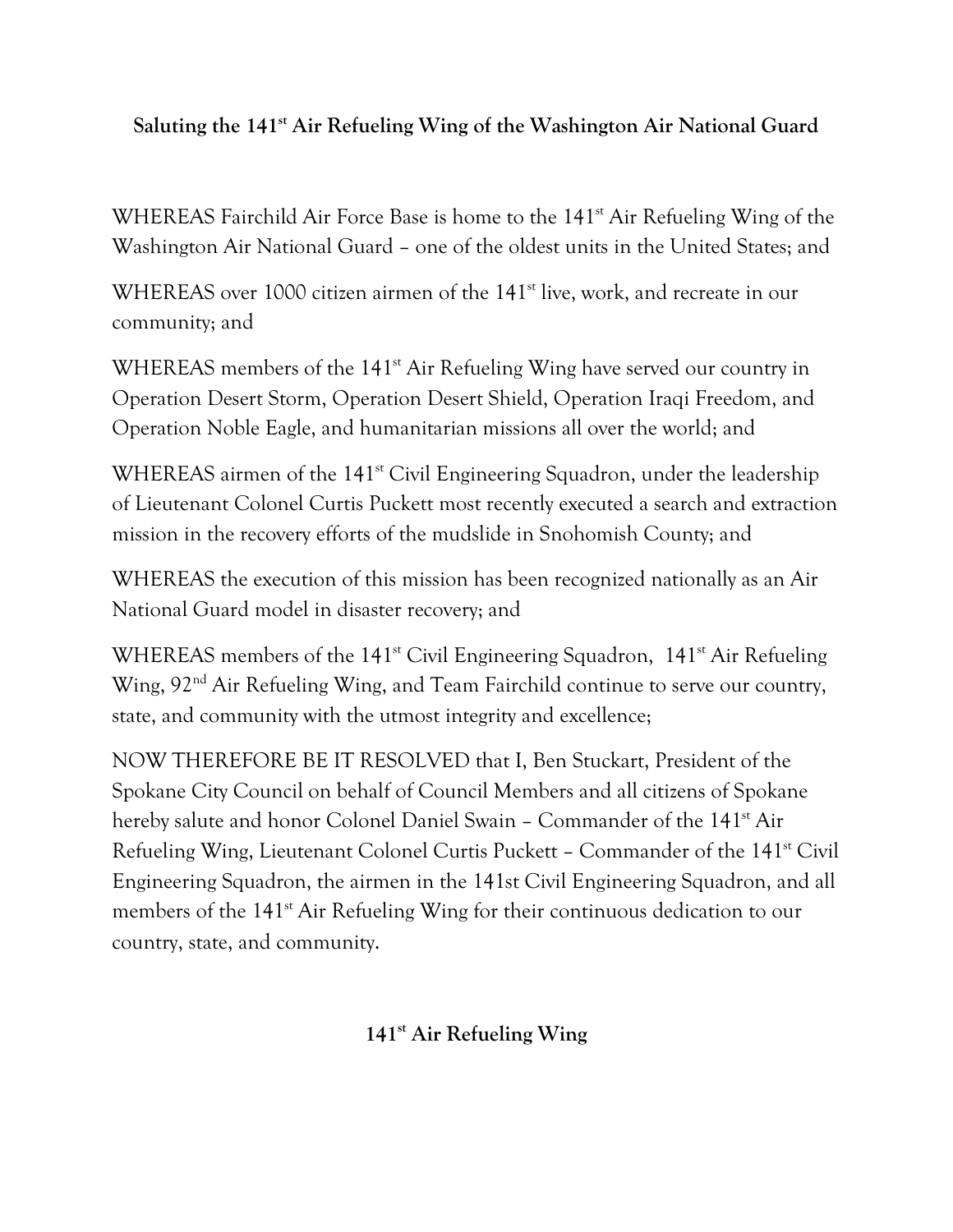## **Saluting the 141st Air Refueling Wing of the Washington Air National Guard**

WHEREAS Fairchild Air Force Base is home to the 141<sup>st</sup> Air Refueling Wing of the Washington Air National Guard – one of the oldest units in the United States; and

WHEREAS over 1000 citizen airmen of the 141<sup>st</sup> live, work, and recreate in our community; and

WHEREAS members of the 141<sup>st</sup> Air Refueling Wing have served our country in Operation Desert Storm, Operation Desert Shield, Operation Iraqi Freedom, and Operation Noble Eagle, and humanitarian missions all over the world; and

WHEREAS airmen of the 141<sup>st</sup> Civil Engineering Squadron, under the leadership of Lieutenant Colonel Curtis Puckett most recently executed a search and extraction mission in the recovery efforts of the mudslide in Snohomish County; and

WHEREAS the execution of this mission has been recognized nationally as an Air National Guard model in disaster recovery; and

WHEREAS members of the 141<sup>st</sup> Civil Engineering Squadron, 141<sup>st</sup> Air Refueling Wing, 92<sup>nd</sup> Air Refueling Wing, and Team Fairchild continue to serve our country, state, and community with the utmost integrity and excellence;

NOW THEREFORE BE IT RESOLVED that I, Ben Stuckart, President of the Spokane City Council on behalf of Council Members and all citizens of Spokane hereby salute and honor Colonel Daniel Swain - Commander of the 141<sup>st</sup> Air Refueling Wing, Lieutenant Colonel Curtis Puckett – Commander of the 141<sup>st</sup> Civil Engineering Squadron, the airmen in the 141st Civil Engineering Squadron, and all members of the 141<sup>st</sup> Air Refueling Wing for their continuous dedication to our country, state, and community.

**141st Air Refueling Wing**